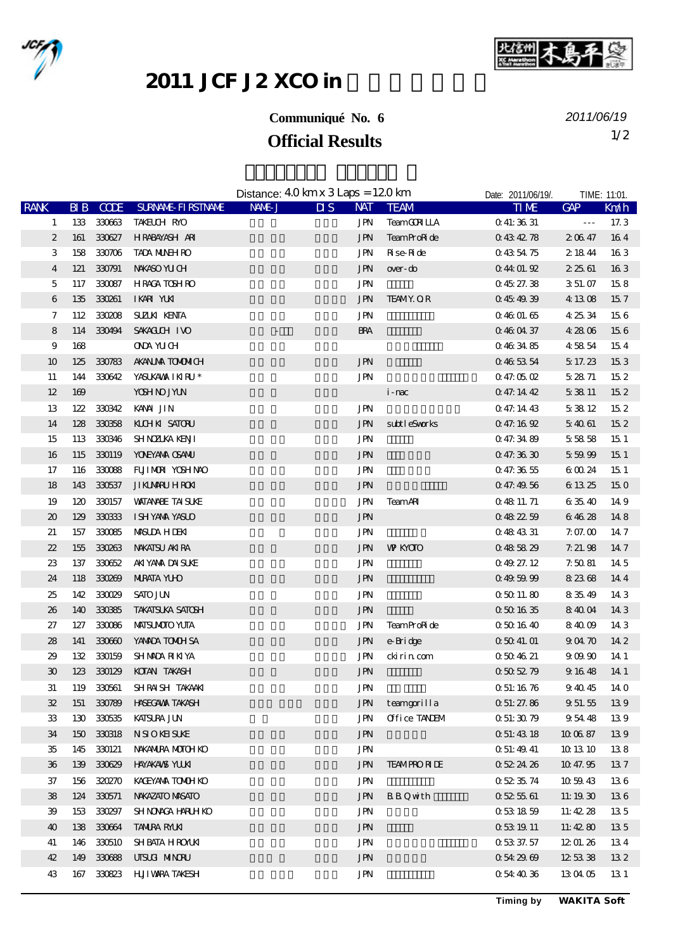



## 2011 JCF J2 XCO in

## **Communiqué No. 6**

**Official Results** 1/2 *2011/06/19*

|                             |     |             |                            | Distance: $40 \text{ km} \times 3 \text{ Laps} = 120 \text{ km}$ |                                |                   | Date: 2011/06/19/. |                      | TIME: 11:01.    |
|-----------------------------|-----|-------------|----------------------------|------------------------------------------------------------------|--------------------------------|-------------------|--------------------|----------------------|-----------------|
| <b>RANK</b>                 | BIB | <b>CODE</b> | <b>SURVANE FIRSTIVANE</b>  | NAME J                                                           | $\overline{\mathbf{u}}$<br>NAT | <b>TEAM</b>       | <b>TIME</b>        | <b>GAP</b>           | Km/h            |
| 1                           |     | 133 330663  | TAKELCH RYO                |                                                                  | JPN                            | <b>TeamCRILA</b>  | 041:3631           | $\sim$ $\sim$ $\sim$ | 17.3            |
| $\boldsymbol{2}$            | 161 | 330627      | HRABAYASH ARI              |                                                                  | <b>JPN</b>                     | TeamProRide       | 0434278            | 20647                | 164             |
| $\,3$                       | 158 | 330706      | <b>TADA MUNH RO</b>        |                                                                  | <b>JPN</b>                     | <b>R</b> ise Ride | 0435475            | 2 18 44              | 163             |
| 4                           | 121 | 330791      | NWASO YU CH                |                                                                  | <b>JPN</b>                     | over-do           | 0.4401.92          | 2 25 61              | 163             |
| 5                           | 117 | 330087      | <b>HRACA TOSHRO</b>        |                                                                  | <b>JPN</b>                     |                   | 0.4527.38          | 3 51 07              | 158             |
| 6                           | 135 | 330261      | IKARI YUKI                 |                                                                  | <b>JPN</b>                     | <b>TEAMY OR</b>   | 0.454939           | 4 13 08              | 157             |
| 7                           |     | 112 330208  | <b>SUZUK KENTA</b>         |                                                                  | <b>JPN</b>                     |                   | 0.4601.65          | 42534                | 156             |
| 8                           |     | 114 330494  | SAKACUCH IVO               |                                                                  | <b>BRA</b>                     |                   | 0460437            | 4 28 06              | 156             |
| 9                           | 168 |             | <b>ONA YUCH</b>            |                                                                  |                                |                   | 0463485            | 45854                | 154             |
| 10                          | 125 | 330783      | <b>AKANJA TOMMICH</b>      |                                                                  | <b>JPN</b>                     |                   | 0465354            | 5 17 23              | 153             |
| 11                          | 144 | 330642      | YASUKAMA IKIRU*            |                                                                  | <b>JPN</b>                     |                   | 0.47:05.02         | 52871                | 152             |
| 12                          | 169 |             | <b>YOSH NO JYLN</b>        |                                                                  |                                | i-mac             | 047.1442           | 53811                | 152             |
| 13                          | 122 | 330342      | KANA JIN                   |                                                                  | <b>JPN</b>                     |                   | 0 47.14 43         | 53812                | 15 <sub>2</sub> |
| 14                          | 128 | 330358      | KILHKI SATORU              |                                                                  | <b>JPN</b>                     | subtleSvorks      | 0.47:16.92         | 54061                | 15 <sub>2</sub> |
| 15                          | 113 | 330346      | <b>SHNZIKA KENI</b>        |                                                                  | <b>JPN</b>                     |                   | 047.3489           | 5 5 8 5 8            | 15 <sub>1</sub> |
| 16                          | 115 | 330119      | YOVEYANA CSANU             |                                                                  | <b>JPN</b>                     |                   | 047.3630           | 55999                | 151             |
| 17                          | 116 | 330088      | FUILMORI YOSHINAO          |                                                                  | JPN                            |                   | 047.3655           | 6 00 24              | 15 <sub>1</sub> |
| 18                          | 143 | 330537      | <b>JIKLARU HROKI</b>       |                                                                  | <b>JPN</b>                     |                   | 047.4956           | 6 13 25              | 150             |
| 19                          | 120 | 330157      | <b>WATANABE TAISLIKE</b>   |                                                                  | JPN                            | <b>TeamAR</b>     | 0 48 11 71         | 63540                | 149             |
| 20                          | 129 | 330333      | <b>ISHYAMA YASUO</b>       |                                                                  | <b>JPN</b>                     |                   | 0.482259           | 64628                | 148             |
| 21                          | 157 | 330085      | <b>MSUA HIEK</b>           |                                                                  | JPN                            |                   | 0 48 43 31         | 7.0700               | 147             |
| 22                          | 155 |             | 330263 NAKATSU AKIRA       |                                                                  | <b>JPN</b>                     | <b>W KYOTO</b>    | 0485829            | 7.21.98              | 147             |
| 23                          | 137 | 330652      | AKIYANA DAISUKE            |                                                                  | JPN                            |                   | 04927.12           | 7.5081               | 14 5            |
| 24                          | 118 | 330269      | <b>NIRATA YUO</b>          |                                                                  | <b>JPN</b>                     |                   | 0.495999           | 82368                | 144             |
| 25                          | 142 | 330029      | <b>SATO JUN</b>            |                                                                  | JPN                            |                   | 05011.80           | 8 35 49              | 143             |
| 26                          | 140 | 330385      | <b>TAKATSUKA SATOSH</b>    |                                                                  | <b>JPN</b>                     |                   | 0501635            | 84004                | 14 3            |
| 27                          | 127 | 330086      | <b>MAISUMOIO YUTA</b>      |                                                                  | <b>JPN</b>                     | TeamProRide       | 0501640            | 84009                | 14 3            |
| 28                          | 141 | 330600      | YANADA TONOH SA            |                                                                  | <b>JPN</b>                     | e-Bridge          | 05041.01           | 90470                | 14 2            |
| 29                          | 132 | 330159      | SHMADA RIKIYA              |                                                                  | JPN                            | cki ri n com      | 0504621            | 90990                | 14 1            |
| $\boldsymbol{\mathfrak{D}}$ |     | 123 330129  | KOTAN TAKASH               |                                                                  | <b>JPN</b>                     |                   | 0505279            | 9 16 48              | 14 1            |
| 31                          |     |             | 119 330561 SHRAISH TAKAAKI |                                                                  | JPN                            |                   | 0 51:16 76         | 94045                | 14 O            |
| 32                          | 151 |             | 330789 HASECAWA TAKASH     |                                                                  | <b>JPN</b>                     | teamgorilla       | 0.51:27.86         | 9 51 55              | 139             |
| 33                          | 130 | 330535      | <b>KATSURA JUN</b>         |                                                                  | <b>JPN</b>                     | Office TANEM      | 0.51:30.79         | 95448                | 139             |
| 34                          | 150 | 330318      | <b>NSIOKHSUKE</b>          |                                                                  | <b>JPN</b>                     |                   | 051:4318           | 10 06 87             | 139             |
| 35                          | 145 | 330121      | NAKANIRA MOTOH KO          |                                                                  | JPN                            |                   | Q 51: 49 41        | 10 13 10             | 138             |
| 36                          | 139 | 330629      | <b>HAYAKANS YUKI</b>       |                                                                  | <b>JPN</b>                     | <b>TEAMPRORIE</b> | 0522426            | 10 47.95             | 137             |
| 37                          | 156 | 320270      | KACEYANA TONUH KO          |                                                                  | <b>JPN</b>                     |                   | 0523574            | 10 59 43             | 136             |
| 38                          | 124 | 330571      | NWAZATO MASATO             |                                                                  | <b>JPN</b>                     | <b>BBQwth</b>     | 0525561            | 11:1930              | 136             |
| 39                          | 153 | 330297      | <b>SHNOACA HARLHKO</b>     |                                                                  | <b>JPN</b>                     |                   | 0531859            | 11:42.28             | 135             |
| 40                          | 138 | 330664      | <b>TANIRA RALKI</b>        |                                                                  | <b>JPN</b>                     |                   | 053 19 11          | 11:4280              | 135             |
| 41                          | 146 | 330510      | <b>SHBATA HROAKI</b>       |                                                                  | JPN                            |                   | 0 53 37 57         | 12 01.26             | 134             |
| 42                          | 149 | 330688      | UISLA MINORU               |                                                                  | <b>JPN</b>                     |                   | 0.542969           | 125338               | 132             |
| 43                          | 167 | 330823      | <b>HUI WARA TAKESH</b>     |                                                                  | JPN                            |                   | 0544036            | 13 04 05             | 13 1            |
|                             |     |             |                            |                                                                  |                                |                   |                    |                      |                 |